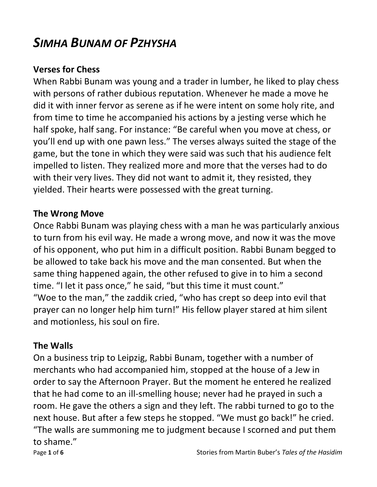# SIMHA BUNAM OF PZHYSHA

## Verses for Chess

When Rabbi Bunam was young and a trader in lumber, he liked to play chess with persons of rather dubious reputation. Whenever he made a move he did it with inner fervor as serene as if he were intent on some holy rite, and from time to time he accompanied his actions by a jesting verse which he half spoke, half sang. For instance: "Be careful when you move at chess, or you'll end up with one pawn less." The verses always suited the stage of the game, but the tone in which they were said was such that his audience felt impelled to listen. They realized more and more that the verses had to do with their very lives. They did not want to admit it, they resisted, they yielded. Their hearts were possessed with the great turning.

#### The Wrong Move

Once Rabbi Bunam was playing chess with a man he was particularly anxious to turn from his evil way. He made a wrong move, and now it was the move of his opponent, who put him in a difficult position. Rabbi Bunam begged to be allowed to take back his move and the man consented. But when the same thing happened again, the other refused to give in to him a second time. "I let it pass once," he said, "but this time it must count." "Woe to the man," the zaddik cried, "who has crept so deep into evil that prayer can no longer help him turn!" His fellow player stared at him silent and motionless, his soul on fire.

#### The Walls

On a business trip to Leipzig, Rabbi Bunam, together with a number of merchants who had accompanied him, stopped at the house of a Jew in order to say the Afternoon Prayer. But the moment he entered he realized that he had come to an ill-smelling house; never had he prayed in such a room. He gave the others a sign and they left. The rabbi turned to go to the next house. But after a few steps he stopped. "We must go back!" he cried. "The walls are summoning me to judgment because I scorned and put them to shame."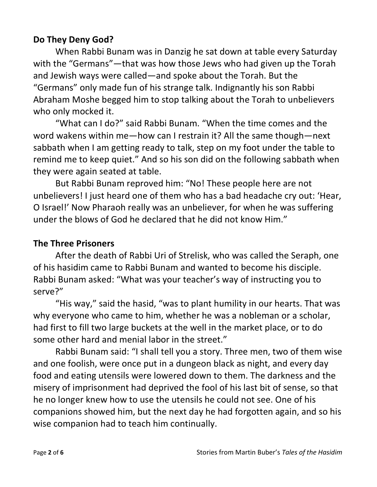## Do They Deny God?

When Rabbi Bunam was in Danzig he sat down at table every Saturday with the "Germans"—that was how those Jews who had given up the Torah and Jewish ways were called—and spoke about the Torah. But the "Germans" only made fun of his strange talk. Indignantly his son Rabbi Abraham Moshe begged him to stop talking about the Torah to unbelievers who only mocked it.

"What can I do?" said Rabbi Bunam. "When the time comes and the word wakens within me—how can I restrain it? All the same though—next sabbath when I am getting ready to talk, step on my foot under the table to remind me to keep quiet." And so his son did on the following sabbath when they were again seated at table.

But Rabbi Bunam reproved him: "No! These people here are not unbelievers! I just heard one of them who has a bad headache cry out: 'Hear, O Israel!' Now Pharaoh really was an unbeliever, for when he was suffering under the blows of God he declared that he did not know Him."

#### The Three Prisoners

After the death of Rabbi Uri of Strelisk, who was called the Seraph, one of his hasidim came to Rabbi Bunam and wanted to become his disciple. Rabbi Bunam asked: "What was your teacher's way of instructing you to serve?"

"His way," said the hasid, "was to plant humility in our hearts. That was why everyone who came to him, whether he was a nobleman or a scholar, had first to fill two large buckets at the well in the market place, or to do some other hard and menial labor in the street."

Rabbi Bunam said: "I shall tell you a story. Three men, two of them wise and one foolish, were once put in a dungeon black as night, and every day food and eating utensils were lowered down to them. The darkness and the misery of imprisonment had deprived the fool of his last bit of sense, so that he no longer knew how to use the utensils he could not see. One of his companions showed him, but the next day he had forgotten again, and so his wise companion had to teach him continually.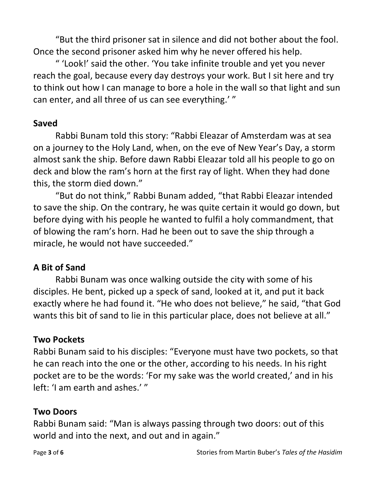"But the third prisoner sat in silence and did not bother about the fool. Once the second prisoner asked him why he never offered his help.

" 'Look!' said the other. 'You take infinite trouble and yet you never reach the goal, because every day destroys your work. But I sit here and try to think out how I can manage to bore a hole in the wall so that light and sun can enter, and all three of us can see everything.' "

#### Saved

Rabbi Bunam told this story: "Rabbi Eleazar of Amsterdam was at sea on a journey to the Holy Land, when, on the eve of New Year's Day, a storm almost sank the ship. Before dawn Rabbi Eleazar told all his people to go on deck and blow the ram's horn at the first ray of light. When they had done this, the storm died down."

"But do not think," Rabbi Bunam added, "that Rabbi Eleazar intended to save the ship. On the contrary, he was quite certain it would go down, but before dying with his people he wanted to fulfil a holy commandment, that of blowing the ram's horn. Had he been out to save the ship through a miracle, he would not have succeeded."

## A Bit of Sand

Rabbi Bunam was once walking outside the city with some of his disciples. He bent, picked up a speck of sand, looked at it, and put it back exactly where he had found it. "He who does not believe," he said, "that God wants this bit of sand to lie in this particular place, does not believe at all."

## Two Pockets

Rabbi Bunam said to his disciples: "Everyone must have two pockets, so that he can reach into the one or the other, according to his needs. In his right pocket are to be the words: 'For my sake was the world created,' and in his left: 'I am earth and ashes.' "

#### Two Doors

Rabbi Bunam said: "Man is always passing through two doors: out of this world and into the next, and out and in again."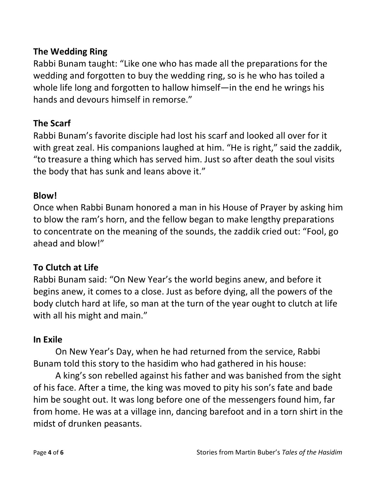## The Wedding Ring

Rabbi Bunam taught: "Like one who has made all the preparations for the wedding and forgotten to buy the wedding ring, so is he who has toiled a whole life long and forgotten to hallow himself—in the end he wrings his hands and devours himself in remorse."

#### The Scarf

Rabbi Bunam's favorite disciple had lost his scarf and looked all over for it with great zeal. His companions laughed at him. "He is right," said the zaddik, "to treasure a thing which has served him. Just so after death the soul visits the body that has sunk and leans above it."

#### Blow!

Once when Rabbi Bunam honored a man in his House of Prayer by asking him to blow the ram's horn, and the fellow began to make lengthy preparations to concentrate on the meaning of the sounds, the zaddik cried out: "Fool, go ahead and blow!"

#### To Clutch at Life

Rabbi Bunam said: "On New Year's the world begins anew, and before it begins anew, it comes to a close. Just as before dying, all the powers of the body clutch hard at life, so man at the turn of the year ought to clutch at life with all his might and main."

#### In Exile

On New Year's Day, when he had returned from the service, Rabbi Bunam told this story to the hasidim who had gathered in his house:

A king's son rebelled against his father and was banished from the sight of his face. After a time, the king was moved to pity his son's fate and bade him be sought out. It was long before one of the messengers found him, far from home. He was at a village inn, dancing barefoot and in a torn shirt in the midst of drunken peasants.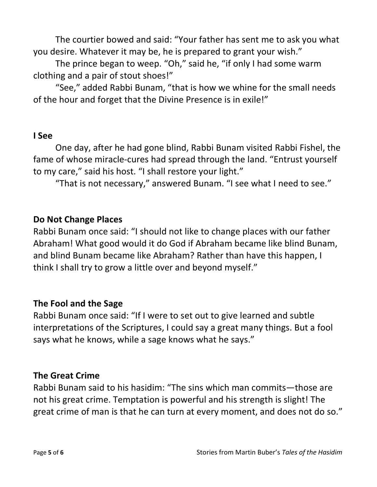The courtier bowed and said: "Your father has sent me to ask you what you desire. Whatever it may be, he is prepared to grant your wish."

The prince began to weep. "Oh," said he, "if only I had some warm clothing and a pair of stout shoes!"

"See," added Rabbi Bunam, "that is how we whine for the small needs of the hour and forget that the Divine Presence is in exile!"

#### I See

One day, after he had gone blind, Rabbi Bunam visited Rabbi Fishel, the fame of whose miracle-cures had spread through the land. "Entrust yourself to my care," said his host. "I shall restore your light."

"That is not necessary," answered Bunam. "I see what I need to see."

#### Do Not Change Places

Rabbi Bunam once said: "I should not like to change places with our father Abraham! What good would it do God if Abraham became like blind Bunam, and blind Bunam became like Abraham? Rather than have this happen, I think I shall try to grow a little over and beyond myself."

#### The Fool and the Sage

Rabbi Bunam once said: "If I were to set out to give learned and subtle interpretations of the Scriptures, I could say a great many things. But a fool says what he knows, while a sage knows what he says."

#### The Great Crime

Rabbi Bunam said to his hasidim: "The sins which man commits—those are not his great crime. Temptation is powerful and his strength is slight! The great crime of man is that he can turn at every moment, and does not do so."